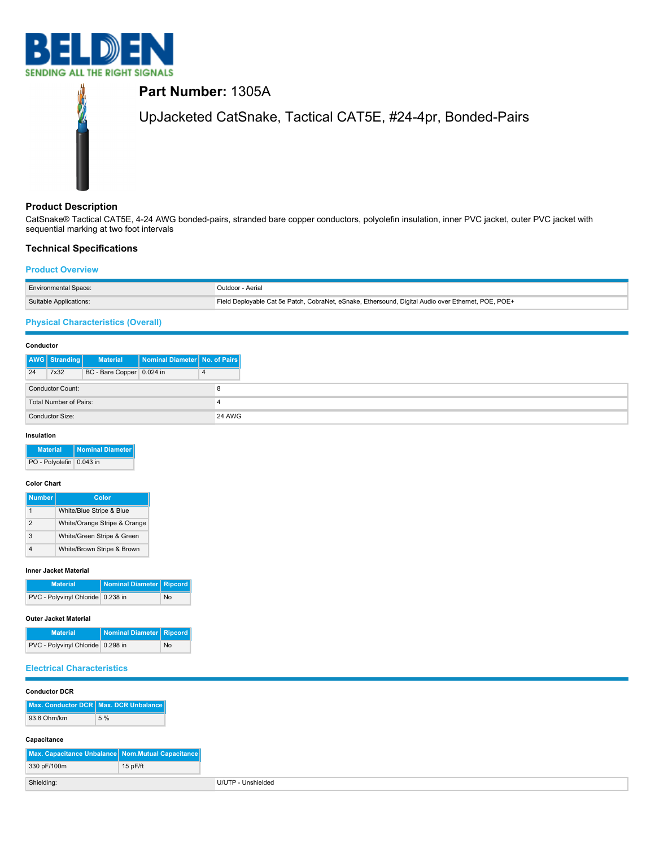



# **Product Description**

CatSnake® Tactical CAT5E, 4-24 AWG bonded-pairs, stranded bare copper conductors, polyolefin insulation, inner PVC jacket, outer PVC jacket with sequential marking at two foot intervals

# **Technical Specifications**

## **Product Overview**

| <b>Environmental Space:</b> | Outdoor - Aerial                                                                                    |
|-----------------------------|-----------------------------------------------------------------------------------------------------|
| Suitable Applications:      | Field Deployable Cat 5e Patch, CobraNet, eSnake, Ethersound, Digital Audio over Ethernet, POE, POE+ |
|                             |                                                                                                     |

# **Physical Characteristics (Overall)**

#### **Conductor**

|                        | AWG Stranding           | <b>Material</b>           | Nominal Diameter   No. of Pairs |               |  |
|------------------------|-------------------------|---------------------------|---------------------------------|---------------|--|
| 24                     | 7x32                    | BC - Bare Copper 0.024 in |                                 |               |  |
|                        | <b>Conductor Count:</b> |                           |                                 |               |  |
| Total Number of Pairs: |                         |                           |                                 |               |  |
|                        | Conductor Size:         |                           |                                 | <b>24 AWG</b> |  |

#### **Insulation**

| <b>Material</b>          | <b>Nominal Diameter</b> |
|--------------------------|-------------------------|
| PO - Polyolefin 0.043 in |                         |

#### **Color Chart**

| <b>Number</b> | Color                        |
|---------------|------------------------------|
|               | White/Blue Stripe & Blue     |
| 2             | White/Orange Stripe & Orange |
| з             | White/Green Stripe & Green   |
|               | White/Brown Stripe & Brown   |

#### **Inner Jacket Material**

| <b>Material</b>                   | Nominal Diameter Ripcord |    |
|-----------------------------------|--------------------------|----|
| PVC - Polyvinyl Chloride 0.238 in |                          | No |

#### **Outer Jacket Material**

| <b>Material</b>                   | Nominal Diameter Ripcord |    |
|-----------------------------------|--------------------------|----|
| PVC - Polyvinyl Chloride 0.298 in |                          | No |

### **Electrical Characteristics**

| <b>Conductor DCR</b> |                                                   |  |
|----------------------|---------------------------------------------------|--|
|                      | Max. Conductor DCR Max. DCR Unbalance             |  |
|                      |                                                   |  |
| 93.8 Ohm/km          | 5 %                                               |  |
|                      |                                                   |  |
| Capacitance          |                                                   |  |
|                      | Max. Capacitance Unbalance Nom.Mutual Capacitance |  |
| 330 pF/100m          | 15 pF/ft                                          |  |
|                      |                                                   |  |
| Shielding:           |                                                   |  |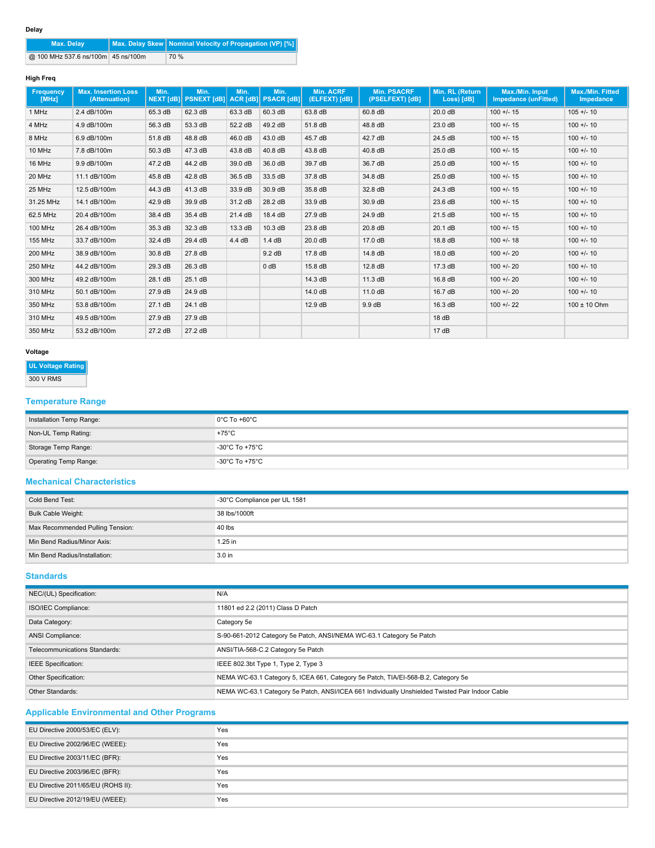| <b>Max. Delay</b>                  | Max. Delay Skew   Nominal Velocity of Propagation (VP) [%] |
|------------------------------------|------------------------------------------------------------|
| @ 100 MHz 537.6 ns/100m 45 ns/100m | 70 %                                                       |

### **High Freq**

| <b>Frequency</b><br>[MHz] | <b>Max. Insertion Loss</b><br>(Attenuation) | Min.<br><b>NEXT [dB]</b> | Min.<br><b>PSNEXT [dB]</b> | Min.             | Min.<br>ACR [dB] PSACR [dB] | <b>Min. ACRF</b><br>(ELFEXT) [dB] | <b>Min. PSACRF</b><br>(PSELFEXT) [dB] | Min. RL (Return<br>Loss) [dB] | Max./Min. Input<br><b>Impedance (unFitted)</b> | <b>Max./Min. Fitted</b><br><b>Impedance</b> |
|---------------------------|---------------------------------------------|--------------------------|----------------------------|------------------|-----------------------------|-----------------------------------|---------------------------------------|-------------------------------|------------------------------------------------|---------------------------------------------|
| 1 MHz                     | 2.4 dB/100m                                 | 65.3 dB                  | 62.3 dB                    | 63.3 dB          | 60.3 dB                     | 63.8 dB                           | 60.8 dB                               | 20.0 dB                       | $100 +/- 15$                                   | $105 + 10$                                  |
| 4 MHz                     | 4.9 dB/100m                                 | 56.3 dB                  | 53.3 dB                    | 52.2 dB          | 49.2 dB                     | 51.8 dB                           | 48.8 dB                               | 23.0 dB                       | $100 +/- 15$                                   | $100 + 1 - 10$                              |
| 8 MHz                     | 6.9 dB/100m                                 | 51.8 dB                  | 48.8 dB                    | 46.0 dB          | 43.0 dB                     | 45.7 dB                           | 42.7 dB                               | 24.5 dB                       | $100 +/- 15$                                   | $100 +/- 10$                                |
| 10 MHz                    | 7.8 dB/100m                                 | 50.3 dB                  | 47.3 dB                    | 43.8 dB          | 40.8 dB                     | 43.8 dB                           | 40.8 dB                               | 25.0 dB                       | $100 +/- 15$                                   | $100 +/- 10$                                |
| 16 MHz                    | 9.9 dB/100m                                 | 47.2 dB                  | 44.2 dB                    | 39.0 dB          | 36.0 dB                     | 39.7 dB                           | 36.7 dB                               | 25.0 dB                       | $100 +/- 15$                                   | $100 +/- 10$                                |
| 20 MHz                    | 11.1 dB/100m                                | 45.8 dB                  | 42.8 dB                    | 36.5 dB          | 33.5 dB                     | 37.8 dB                           | 34.8 dB                               | 25.0 dB                       | $100 +/- 15$                                   | $100 +/- 10$                                |
| 25 MHz                    | 12.5 dB/100m                                | 44.3 dB                  | 41.3 dB                    | 33.9 dB          | 30.9 dB                     | 35.8 dB                           | 32.8 dB                               | 24.3 dB                       | $100 +/- 15$                                   | $100 +/- 10$                                |
| 31.25 MHz                 | 14.1 dB/100m                                | 42.9 dB                  | 39.9 dB                    | 31.2 dB          | 28.2 dB                     | 33.9 dB                           | 30.9 dB                               | 23.6 dB                       | $100 +/- 15$                                   | $100 +/- 10$                                |
| 62.5 MHz                  | 20.4 dB/100m                                | 38.4 dB                  | 35.4 dB                    | 21.4 dB          | 18.4 dB                     | 27.9 dB                           | 24.9 dB                               | 21.5 dB                       | $100 +/- 15$                                   | $100 +/- 10$                                |
| 100 MHz                   | 26.4 dB/100m                                | 35.3 dB                  | 32.3 dB                    | 13.3 dB          | 10.3 dB                     | 23.8 dB                           | 20.8 dB                               | 20.1 dB                       | $100 +/- 15$                                   | $100 +/- 10$                                |
| 155 MHz                   | 33.7 dB/100m                                | 32.4 dB                  | 29.4 dB                    | $4.4 \text{ dB}$ | 1.4dB                       | 20.0 dB                           | 17.0 dB                               | 18.8 dB                       | $100 +/- 18$                                   | $100 +/- 10$                                |
| <b>200 MHz</b>            | 38.9 dB/100m                                | 30.8 dB                  | 27.8 dB                    |                  | $9.2\ \text{dB}$            | 17.8 dB                           | 14.8 dB                               | 18.0 dB                       | $100 + 20$                                     | $100 +/- 10$                                |
| 250 MHz                   | 44.2 dB/100m                                | 29.3 dB                  | 26.3 dB                    |                  | $0$ dB                      | 15.8 dB                           | 12.8 dB                               | 17.3 dB                       | $100 + 20$                                     | $100 +/- 10$                                |
| 300 MHz                   | 49.2 dB/100m                                | 28.1 dB                  | 25.1 dB                    |                  |                             | 14.3 dB                           | 11.3 dB                               | 16.8 dB                       | $100 + 20$                                     | $100 +/- 10$                                |
| 310 MHz                   | 50.1 dB/100m                                | 27.9 dB                  | 24.9 dB                    |                  |                             | 14.0 dB                           | 11.0 dB                               | 16.7 dB                       | $100 + 20$                                     | $100 + 1 - 10$                              |
| 350 MHz                   | 53.8 dB/100m                                | 27.1 dB                  | 24.1 dB                    |                  |                             | 12.9 dB                           | 9.9 dB                                | 16.3 dB                       | $100 + 22$                                     | $100 \pm 10$ Ohm                            |
| 310 MHz                   | 49.5 dB/100m                                | 27.9 dB                  | 27.9 dB                    |                  |                             |                                   |                                       | 18dB                          |                                                |                                             |
| 350 MHz                   | 53.2 dB/100m                                | 27.2 dB                  | 27.2 dB                    |                  |                             |                                   |                                       | 17dB                          |                                                |                                             |

## **Voltage**

**UL Voltage Rating**

```
300 V RMS
```
# **Temperature Range**

| Installation Temp Range: | $0^{\circ}$ C To +60 $^{\circ}$ C |
|--------------------------|-----------------------------------|
| Non-UL Temp Rating:      | $+75^{\circ}$ C                   |
| Storage Temp Range:      | -30°C To +75°C                    |
| Operating Temp Range:    | -30°C To +75°C                    |

## **Mechanical Characteristics**

| Cold Bend Test:                  | -30°C Compliance per UL 1581 |
|----------------------------------|------------------------------|
| Bulk Cable Weight:               | 38 lbs/1000ft                |
| Max Recommended Pulling Tension: | 40 lbs                       |
| Min Bend Radius/Minor Axis:      | $1.25$ in                    |
| Min Bend Radius/Installation:    | 3.0 <sub>in</sub>            |

## **Standards**

| NEC/(UL) Specification:       | N/A                                                                                             |
|-------------------------------|-------------------------------------------------------------------------------------------------|
| ISO/IEC Compliance:           | 11801 ed 2.2 (2011) Class D Patch                                                               |
| Data Category:                | Category 5e                                                                                     |
| <b>ANSI Compliance:</b>       | S-90-661-2012 Category 5e Patch, ANSI/NEMA WC-63.1 Category 5e Patch                            |
| Telecommunications Standards: | ANSI/TIA-568-C.2 Category 5e Patch                                                              |
| IEEE Specification:           | IEEE 802.3bt Type 1, Type 2, Type 3                                                             |
| Other Specification:          | NEMA WC-63.1 Category 5, ICEA 661, Category 5e Patch, TIA/EI-568-B.2, Category 5e               |
| Other Standards:              | NEMA WC-63.1 Category 5e Patch, ANSI/ICEA 661 Individually Unshielded Twisted Pair Indoor Cable |

# **Applicable Environmental and Other Programs**

| EU Directive 2000/53/EC (ELV):     | Yes |
|------------------------------------|-----|
| EU Directive 2002/96/EC (WEEE):    | Yes |
| EU Directive 2003/11/EC (BFR):     | Yes |
| EU Directive 2003/96/EC (BFR):     | Yes |
| EU Directive 2011/65/EU (ROHS II): | Yes |
| EU Directive 2012/19/EU (WEEE):    | Yes |